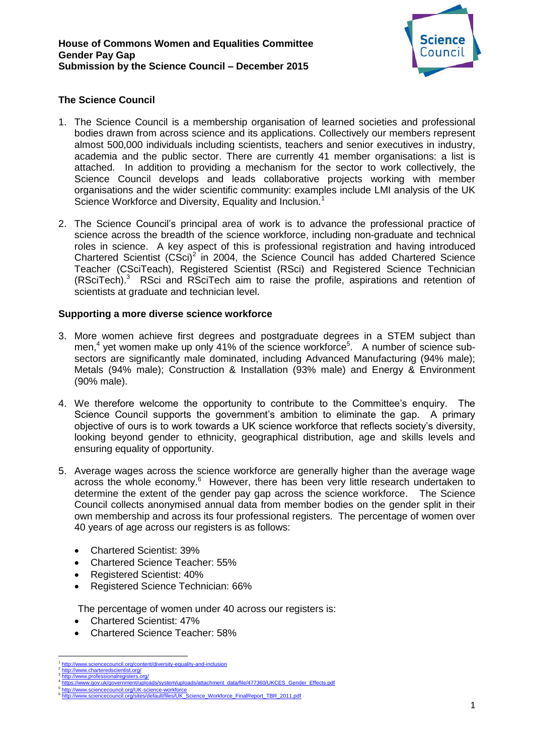

# **The Science Council**

- 1. The Science Council is a membership organisation of learned societies and professional bodies drawn from across science and its applications. Collectively our members represent almost 500,000 individuals including scientists, teachers and senior executives in industry, academia and the public sector. There are currently 41 member organisations: a list is attached. In addition to providing a mechanism for the sector to work collectively, the Science Council develops and leads collaborative projects working with member organisations and the wider scientific community: examples include LMI analysis of the UK Science Workforce and Diversity, Equality and Inclusion.<sup>1</sup>
- 2. The Science Council's principal area of work is to advance the professional practice of science across the breadth of the science workforce, including non-graduate and technical roles in science. A key aspect of this is professional registration and having introduced Chartered Scientist  $(CSci)^2$  in 2004, the Science Council has added Chartered Science Teacher (CSciTeach), Registered Scientist (RSci) and Registered Science Technician (RSciTech).<sup>3</sup> RSci and RSciTech aim to raise the profile, aspirations and retention of scientists at graduate and technician level.

### **Supporting a more diverse science workforce**

- 3. More women achieve first degrees and postgraduate degrees in a STEM subject than men,<sup>4</sup> yet women make up only 41% of the science workforce<sup>5</sup>. A number of science subsectors are significantly male dominated, including Advanced Manufacturing (94% male); Metals (94% male); Construction & Installation (93% male) and Energy & Environment (90% male).
- 4. We therefore welcome the opportunity to contribute to the Committee's enquiry. The Science Council supports the government's ambition to eliminate the gap. A primary objective of ours is to work towards a UK science workforce that reflects society's diversity, looking beyond gender to ethnicity, geographical distribution, age and skills levels and ensuring equality of opportunity.
- 5. Average wages across the science workforce are generally higher than the average wage across the whole economy.<sup>6</sup> However, there has been very little research undertaken to determine the extent of the gender pay gap across the science workforce. The Science Council collects anonymised annual data from member bodies on the gender split in their own membership and across its four professional registers. The percentage of women over 40 years of age across our registers is as follows:
	- Chartered Scientist: 39%
	- Chartered Science Teacher: 55%
	- Registered Scientist: 40%
	- Registered Science Technician: 66%

The percentage of women under 40 across our registers is:

- Chartered Scientist: 47%
- Chartered Science Teacher: 58%

 $\overline{a}$ 1 <http://www.sciencecouncil.org/content/diversity-equality-and-inclusion> 2

<http://www.charteredscientist.org/> 3 www.professionalregisters.org

<sup>4</sup> /www.gov.uk/government/uploads/system/uploads/attachment\_data/file/477360/UKCES\_Gender\_Effects.pdf 5

<http://www.sciencecouncil.org/UK-science-workforce> [http://www.sciencecouncil.org/sites/default/files/UK\\_Science\\_Workforce\\_FinalReport\\_TBR\\_2011.pdf](http://www.sciencecouncil.org/sites/default/files/UK_Science_Workforce_FinalReport_TBR_2011.pdf)6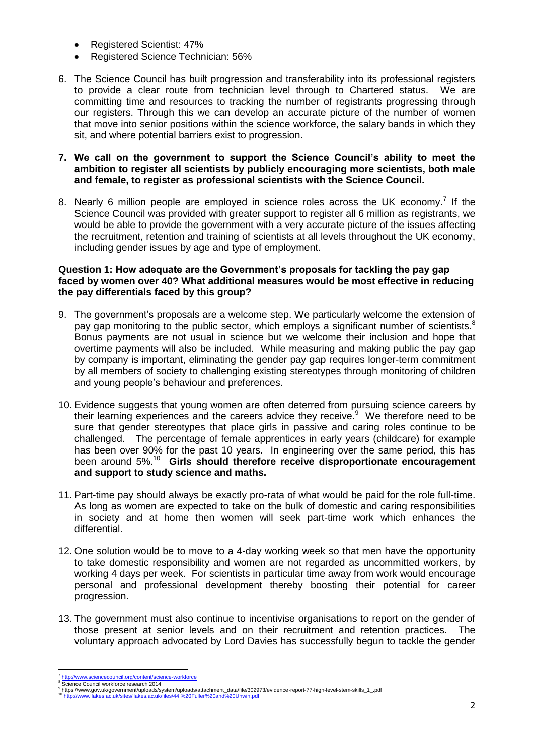- Registered Scientist: 47%
- Registered Science Technician: 56%
- 6. The Science Council has built progression and transferability into its professional registers to provide a clear route from technician level through to Chartered status. We are committing time and resources to tracking the number of registrants progressing through our registers. Through this we can develop an accurate picture of the number of women that move into senior positions within the science workforce, the salary bands in which they sit, and where potential barriers exist to progression.

# **7. We call on the government to support the Science Council's ability to meet the ambition to register all scientists by publicly encouraging more scientists, both male and female, to register as professional scientists with the Science Council.**

8. Nearly 6 million people are employed in science roles across the UK economy.<sup>7</sup> If the Science Council was provided with greater support to register all 6 million as registrants, we would be able to provide the government with a very accurate picture of the issues affecting the recruitment, retention and training of scientists at all levels throughout the UK economy, including gender issues by age and type of employment.

### **Question 1: How adequate are the Government's proposals for tackling the pay gap faced by women over 40? What additional measures would be most effective in reducing the pay differentials faced by this group?**

- 9. The government's proposals are a welcome step. We particularly welcome the extension of pay gap monitoring to the public sector, which employs a significant number of scientists. $8$ Bonus payments are not usual in science but we welcome their inclusion and hope that overtime payments will also be included. While measuring and making public the pay gap by company is important, eliminating the gender pay gap requires longer-term commitment by all members of society to challenging existing stereotypes through monitoring of children and young people's behaviour and preferences.
- 10. Evidence suggests that young women are often deterred from pursuing science careers by their learning experiences and the careers advice they receive.<sup>9</sup> We therefore need to be sure that gender stereotypes that place girls in passive and caring roles continue to be challenged. The percentage of female apprentices in early years (childcare) for example has been over 90% for the past 10 years. In engineering over the same period, this has been around 5%.<sup>10</sup> **Girls should therefore receive disproportionate encouragement and support to study science and maths.**
- 11. Part-time pay should always be exactly pro-rata of what would be paid for the role full-time. As long as women are expected to take on the bulk of domestic and caring responsibilities in society and at home then women will seek part-time work which enhances the differential.
- 12. One solution would be to move to a 4-day working week so that men have the opportunity to take domestic responsibility and women are not regarded as uncommitted workers, by working 4 days per week. For scientists in particular time away from work would encourage personal and professional development thereby boosting their potential for career progression.
- 13. The government must also continue to incentivise organisations to report on the gender of those present at senior levels and on their recruitment and retention practices. The voluntary approach advocated by Lord Davies has successfully begun to tackle the gender

 $\overline{a}$ 7 <http://www.sciencecouncil.org/content/science-workforce> <sup>8</sup> Science Council workforce research 2014

<sup>9</sup> <sup>y</sup> https://www.gov.uk/government/uploads/system/uploads/attachment\_data/file/302973/evidence-report-77-high-level-stem-skills\_1\_.pdf<br><sup>10</sup> <u><http://www.llakes.ac.uk/sites/llakes.ac.uk/files/44.%20Fuller%20and%20Unwin.pdf></u>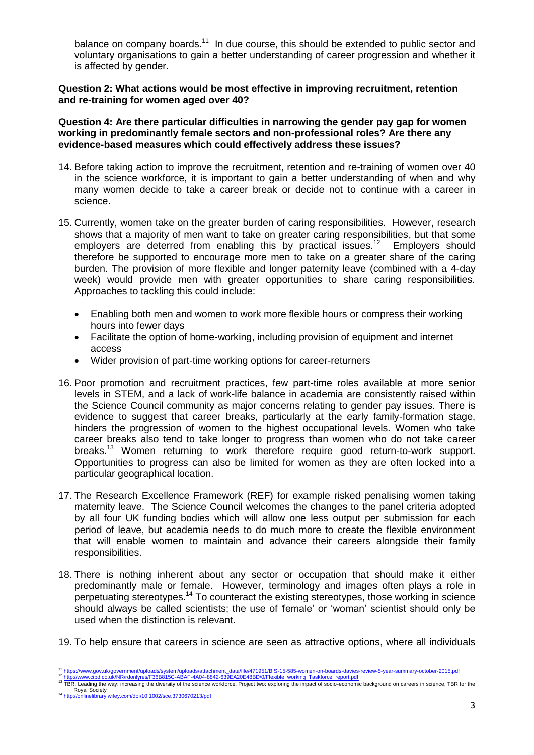balance on company boards.<sup>11</sup> In due course, this should be extended to public sector and voluntary organisations to gain a better understanding of career progression and whether it is affected by gender.

#### **Question 2: What actions would be most effective in improving recruitment, retention and re-training for women aged over 40?**

**Question 4: Are there particular difficulties in narrowing the gender pay gap for women working in predominantly female sectors and non-professional roles? Are there any evidence-based measures which could effectively address these issues?**

- 14. Before taking action to improve the recruitment, retention and re-training of women over 40 in the science workforce, it is important to gain a better understanding of when and why many women decide to take a career break or decide not to continue with a career in science.
- 15. Currently, women take on the greater burden of caring responsibilities. However, research shows that a majority of men want to take on greater caring responsibilities, but that some employers are deterred from enabling this by practical issues.<sup>12</sup> Employers should therefore be supported to encourage more men to take on a greater share of the caring burden. The provision of more flexible and longer paternity leave (combined with a 4-day week) would provide men with greater opportunities to share caring responsibilities. Approaches to tackling this could include:
	- Enabling both men and women to work more flexible hours or compress their working hours into fewer days
	- Facilitate the option of home-working, including provision of equipment and internet access
	- Wider provision of part-time working options for career-returners
- 16. Poor promotion and recruitment practices, few part-time roles available at more senior levels in STEM, and a lack of work-life balance in academia are consistently raised within the Science Council community as major concerns relating to gender pay issues. There is evidence to suggest that career breaks, particularly at the early family-formation stage, hinders the progression of women to the highest occupational levels. Women who take career breaks also tend to take longer to progress than women who do not take career breaks.<sup>13</sup> Women returning to work therefore require good return-to-work support. Opportunities to progress can also be limited for women as they are often locked into a particular geographical location.
- 17. The Research Excellence Framework (REF) for example risked penalising women taking maternity leave. The Science Council welcomes the changes to the panel criteria adopted by all four UK funding bodies which will allow one less output per submission for each period of leave, but academia needs to do much more to create the flexible environment that will enable women to maintain and advance their careers alongside their family responsibilities.
- 18. There is nothing inherent about any sector or occupation that should make it either predominantly male or female. However, terminology and images often plays a role in perpetuating stereotypes.<sup>14</sup> To counteract the existing stereotypes, those working in science should always be called scientists; the use of *'*female' or 'woman' scientist should only be used when the distinction is relevant.
- 19. To help ensure that careers in science are seen as attractive options, where all individuals

<sup>&</sup>lt;sup>11</sup> [https://www.gov.uk/government/uploads/system/uploads/attachment\\_data/file/471951/BIS-15-585-women-on-boards-davies-review-5-year-summary-october-2015.pdf](https://www.gov.uk/government/uploads/system/uploads/attachment_data/file/471951/BIS-15-585-women-on-boards-davies-review-5-year-summary-october-2015.pdf)

<sup>&</sup>lt;sup>12</sup> http://www.cipd.co.uk/NR/rdonlyres/F36B815C-ABAF-4A04-8842-639EA20E48BD/0/Flexible working Taskforce report.pdf<br><sup>13</sup> TBR, Leading the way: increasing the diversity of the science workforce, Project two: exploring the

Royal Society <sup>14</sup> <http://onlinelibrary.wiley.com/doi/10.1002/sce.3730670213/pdf>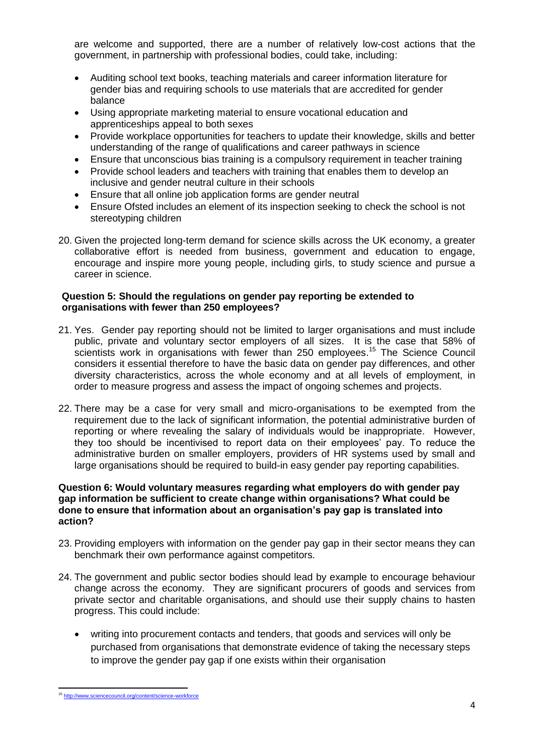are welcome and supported, there are a number of relatively low-cost actions that the government, in partnership with professional bodies, could take, including:

- Auditing school text books, teaching materials and career information literature for gender bias and requiring schools to use materials that are accredited for gender balance
- Using appropriate marketing material to ensure vocational education and apprenticeships appeal to both sexes
- Provide workplace opportunities for teachers to update their knowledge, skills and better understanding of the range of qualifications and career pathways in science
- Ensure that unconscious bias training is a compulsory requirement in teacher training
- Provide school leaders and teachers with training that enables them to develop an inclusive and gender neutral culture in their schools
- Ensure that all online job application forms are gender neutral
- Ensure Ofsted includes an element of its inspection seeking to check the school is not stereotyping children
- 20. Given the projected long-term demand for science skills across the UK economy, a greater collaborative effort is needed from business, government and education to engage, encourage and inspire more young people, including girls, to study science and pursue a career in science.

### **Question 5: Should the regulations on gender pay reporting be extended to organisations with fewer than 250 employees?**

- 21. Yes. Gender pay reporting should not be limited to larger organisations and must include public, private and voluntary sector employers of all sizes. It is the case that 58% of scientists work in organisations with fewer than 250 employees.<sup>15</sup> The Science Council considers it essential therefore to have the basic data on gender pay differences, and other diversity characteristics, across the whole economy and at all levels of employment, in order to measure progress and assess the impact of ongoing schemes and projects.
- 22. There may be a case for very small and micro-organisations to be exempted from the requirement due to the lack of significant information, the potential administrative burden of reporting or where revealing the salary of individuals would be inappropriate. However, they too should be incentivised to report data on their employees' pay. To reduce the administrative burden on smaller employers, providers of HR systems used by small and large organisations should be required to build-in easy gender pay reporting capabilities.

#### **Question 6: Would voluntary measures regarding what employers do with gender pay gap information be sufficient to create change within organisations? What could be done to ensure that information about an organisation's pay gap is translated into action?**

- 23. Providing employers with information on the gender pay gap in their sector means they can benchmark their own performance against competitors.
- 24. The government and public sector bodies should lead by example to encourage behaviour change across the economy. They are significant procurers of goods and services from private sector and charitable organisations, and should use their supply chains to hasten progress. This could include:
	- writing into procurement contacts and tenders, that goods and services will only be purchased from organisations that demonstrate evidence of taking the necessary steps to improve the gender pay gap if one exists within their organisation

<sup>15&</sup>lt;br>15 <http://www.sciencecouncil.org/content/science-workforce>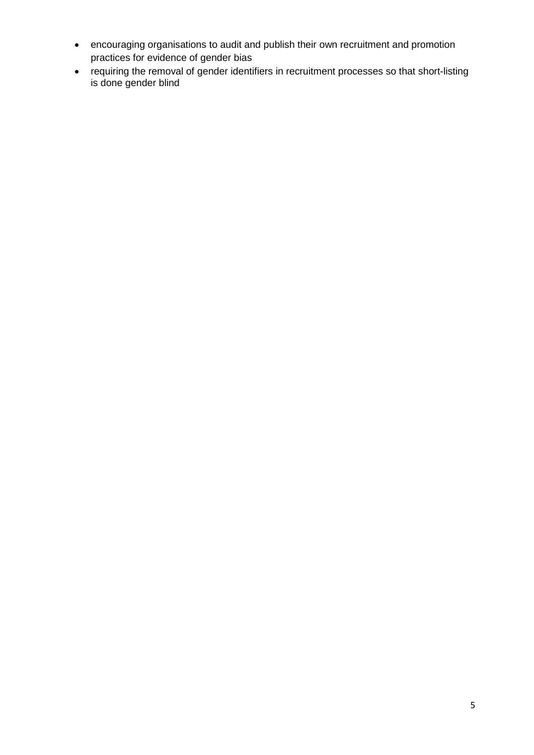- encouraging organisations to audit and publish their own recruitment and promotion practices for evidence of gender bias
- requiring the removal of gender identifiers in recruitment processes so that short-listing is done gender blind